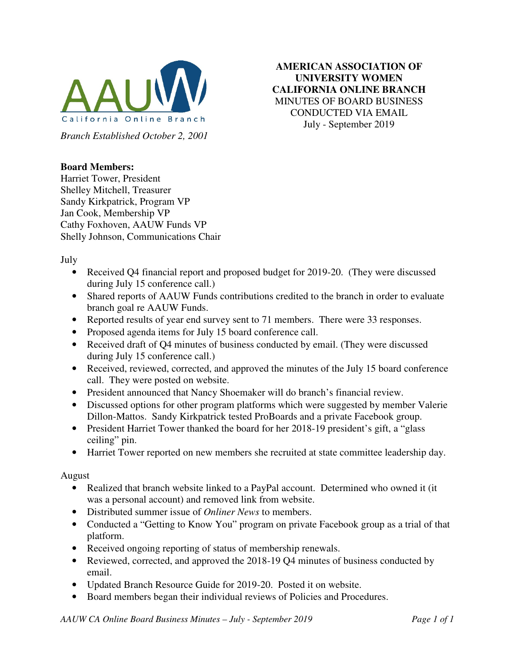

**AMERICAN ASSOCIATION OF UNIVERSITY WOMEN CALIFORNIA ONLINE BRANCH**  MINUTES OF BOARD BUSINESS CONDUCTED VIA EMAIL July - September 2019

## **Board Members:**

Harriet Tower, President Shelley Mitchell, Treasurer Sandy Kirkpatrick, Program VP Jan Cook, Membership VP Cathy Foxhoven, AAUW Funds VP Shelly Johnson, Communications Chair

July

- Received Q4 financial report and proposed budget for 2019-20. (They were discussed during July 15 conference call.)
- Shared reports of AAUW Funds contributions credited to the branch in order to evaluate branch goal re AAUW Funds.
- Reported results of year end survey sent to 71 members. There were 33 responses.
- Proposed agenda items for July 15 board conference call.
- Received draft of Q4 minutes of business conducted by email. (They were discussed during July 15 conference call.)
- Received, reviewed, corrected, and approved the minutes of the July 15 board conference call. They were posted on website.
- President announced that Nancy Shoemaker will do branch's financial review.
- Discussed options for other program platforms which were suggested by member Valerie Dillon-Mattos. Sandy Kirkpatrick tested ProBoards and a private Facebook group.
- President Harriet Tower thanked the board for her 2018-19 president's gift, a "glass" ceiling" pin.
- Harriet Tower reported on new members she recruited at state committee leadership day.

August

- Realized that branch website linked to a PayPal account. Determined who owned it (it was a personal account) and removed link from website.
- Distributed summer issue of *Onliner News* to members.
- Conducted a "Getting to Know You" program on private Facebook group as a trial of that platform.
- Received ongoing reporting of status of membership renewals.
- Reviewed, corrected, and approved the 2018-19 Q4 minutes of business conducted by email.
- Updated Branch Resource Guide for 2019-20. Posted it on website.
- Board members began their individual reviews of Policies and Procedures.